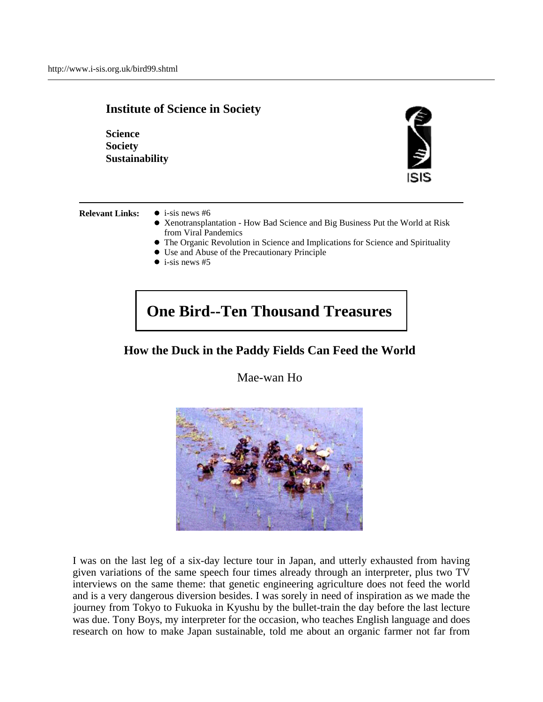

**Relevant Links:**  $\bullet$  i-sis news #6

- 
- Xenotransplantation How Bad Science and Big Business Put the World at Risk from Viral Pandemics
- The Organic Revolution in Science and Implications for Science and Spirituality
- Use and Abuse of the Precautionary Principle
- $\bullet$  i-sis news #5

## **One Bird--Ten Thousand Treasures**

## **How the Duck in the Paddy Fields Can Feed the World**

Mae-wan Ho



I was on the last leg of a six-day lecture tour in Japan, and utterly exhausted from having given variations of the same speech four times already through an interpreter, plus two TV interviews on the same theme: that genetic engineering agriculture does not feed the world and is a very dangerous diversion besides. I was sorely in need of inspiration as we made the journey from Tokyo to Fukuoka in Kyushu by the bullet-train the day before the last lecture was due. Tony Boys, my interpreter for the occasion, who teaches English language and does research on how to make Japan sustainable, told me about an organic farmer not far from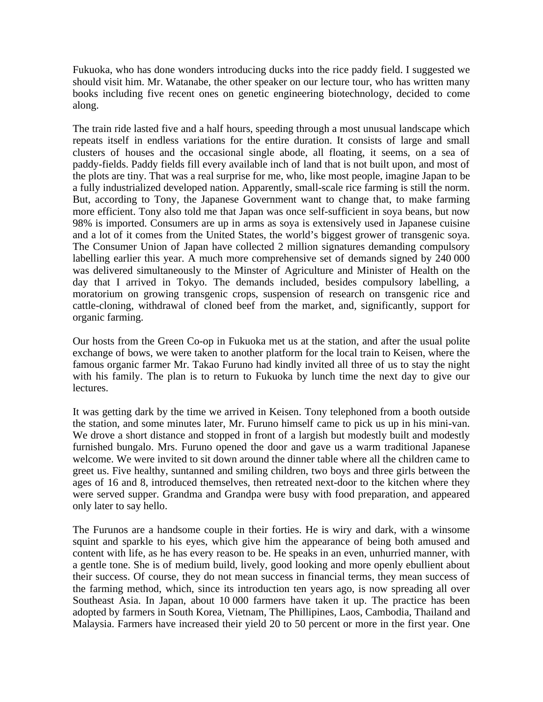Fukuoka, who has done wonders introducing ducks into the rice paddy field. I suggested we should visit him. Mr. Watanabe, the other speaker on our lecture tour, who has written many books including five recent ones on genetic engineering biotechnology, decided to come along.

The train ride lasted five and a half hours, speeding through a most unusual landscape which repeats itself in endless variations for the entire duration. It consists of large and small clusters of houses and the occasional single abode, all floating, it seems, on a sea of paddy-fields. Paddy fields fill every available inch of land that is not built upon, and most of the plots are tiny. That was a real surprise for me, who, like most people, imagine Japan to be a fully industrialized developed nation. Apparently, small-scale rice farming is still the norm. But, according to Tony, the Japanese Government want to change that, to make farming more efficient. Tony also told me that Japan was once self-sufficient in soya beans, but now 98% is imported. Consumers are up in arms as soya is extensively used in Japanese cuisine and a lot of it comes from the United States, the world's biggest grower of transgenic soya. The Consumer Union of Japan have collected 2 million signatures demanding compulsory labelling earlier this year. A much more comprehensive set of demands signed by 240 000 was delivered simultaneously to the Minster of Agriculture and Minister of Health on the day that I arrived in Tokyo. The demands included, besides compulsory labelling, a moratorium on growing transgenic crops, suspension of research on transgenic rice and cattle-cloning, withdrawal of cloned beef from the market, and, significantly, support for organic farming.

Our hosts from the Green Co-op in Fukuoka met us at the station, and after the usual polite exchange of bows, we were taken to another platform for the local train to Keisen, where the famous organic farmer Mr. Takao Furuno had kindly invited all three of us to stay the night with his family. The plan is to return to Fukuoka by lunch time the next day to give our lectures.

It was getting dark by the time we arrived in Keisen. Tony telephoned from a booth outside the station, and some minutes later, Mr. Furuno himself came to pick us up in his mini-van. We drove a short distance and stopped in front of a largish but modestly built and modestly furnished bungalo. Mrs. Furuno opened the door and gave us a warm traditional Japanese welcome. We were invited to sit down around the dinner table where all the children came to greet us. Five healthy, suntanned and smiling children, two boys and three girls between the ages of 16 and 8, introduced themselves, then retreated next-door to the kitchen where they were served supper. Grandma and Grandpa were busy with food preparation, and appeared only later to say hello.

The Furunos are a handsome couple in their forties. He is wiry and dark, with a winsome squint and sparkle to his eyes, which give him the appearance of being both amused and content with life, as he has every reason to be. He speaks in an even, unhurried manner, with a gentle tone. She is of medium build, lively, good looking and more openly ebullient about their success. Of course, they do not mean success in financial terms, they mean success of the farming method, which, since its introduction ten years ago, is now spreading all over Southeast Asia. In Japan, about 10 000 farmers have taken it up. The practice has been adopted by farmers in South Korea, Vietnam, The Phillipines, Laos, Cambodia, Thailand and Malaysia. Farmers have increased their yield 20 to 50 percent or more in the first year. One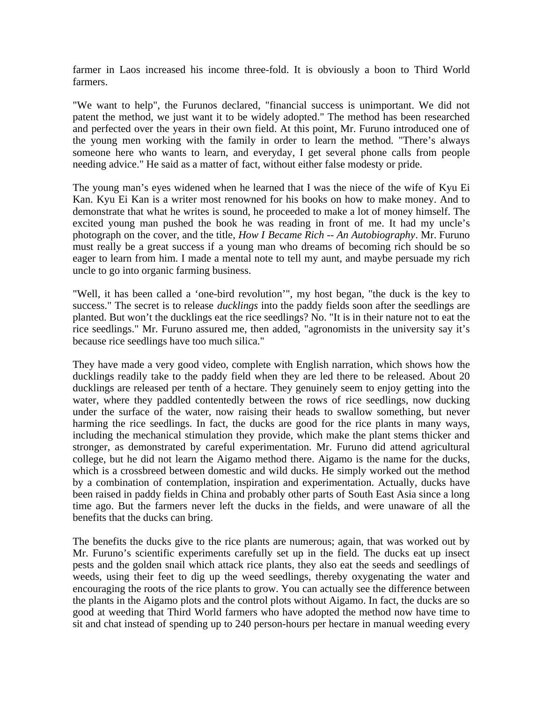farmer in Laos increased his income three-fold. It is obviously a boon to Third World farmers.

"We want to help", the Furunos declared, "financial success is unimportant. We did not patent the method, we just want it to be widely adopted." The method has been researched and perfected over the years in their own field. At this point, Mr. Furuno introduced one of the young men working with the family in order to learn the method. "There's always someone here who wants to learn, and everyday, I get several phone calls from people needing advice." He said as a matter of fact, without either false modesty or pride.

The young man's eyes widened when he learned that I was the niece of the wife of Kyu Ei Kan. Kyu Ei Kan is a writer most renowned for his books on how to make money. And to demonstrate that what he writes is sound, he proceeded to make a lot of money himself. The excited young man pushed the book he was reading in front of me. It had my uncle's photograph on the cover, and the title, *How I Became Rich -- An Autobiography*. Mr. Furuno must really be a great success if a young man who dreams of becoming rich should be so eager to learn from him. I made a mental note to tell my aunt, and maybe persuade my rich uncle to go into organic farming business.

"Well, it has been called a 'one-bird revolution'", my host began, "the duck is the key to success." The secret is to release *ducklings* into the paddy fields soon after the seedlings are planted. But won't the ducklings eat the rice seedlings? No. "It is in their nature not to eat the rice seedlings." Mr. Furuno assured me, then added, "agronomists in the university say it's because rice seedlings have too much silica."

They have made a very good video, complete with English narration, which shows how the ducklings readily take to the paddy field when they are led there to be released. About 20 ducklings are released per tenth of a hectare. They genuinely seem to enjoy getting into the water, where they paddled contentedly between the rows of rice seedlings, now ducking under the surface of the water, now raising their heads to swallow something, but never harming the rice seedlings. In fact, the ducks are good for the rice plants in many ways, including the mechanical stimulation they provide, which make the plant stems thicker and stronger, as demonstrated by careful experimentation. Mr. Furuno did attend agricultural college, but he did not learn the Aigamo method there. Aigamo is the name for the ducks, which is a crossbreed between domestic and wild ducks. He simply worked out the method by a combination of contemplation, inspiration and experimentation. Actually, ducks have been raised in paddy fields in China and probably other parts of South East Asia since a long time ago. But the farmers never left the ducks in the fields, and were unaware of all the benefits that the ducks can bring.

The benefits the ducks give to the rice plants are numerous; again, that was worked out by Mr. Furuno's scientific experiments carefully set up in the field. The ducks eat up insect pests and the golden snail which attack rice plants, they also eat the seeds and seedlings of weeds, using their feet to dig up the weed seedlings, thereby oxygenating the water and encouraging the roots of the rice plants to grow. You can actually see the difference between the plants in the Aigamo plots and the control plots without Aigamo. In fact, the ducks are so good at weeding that Third World farmers who have adopted the method now have time to sit and chat instead of spending up to 240 person-hours per hectare in manual weeding every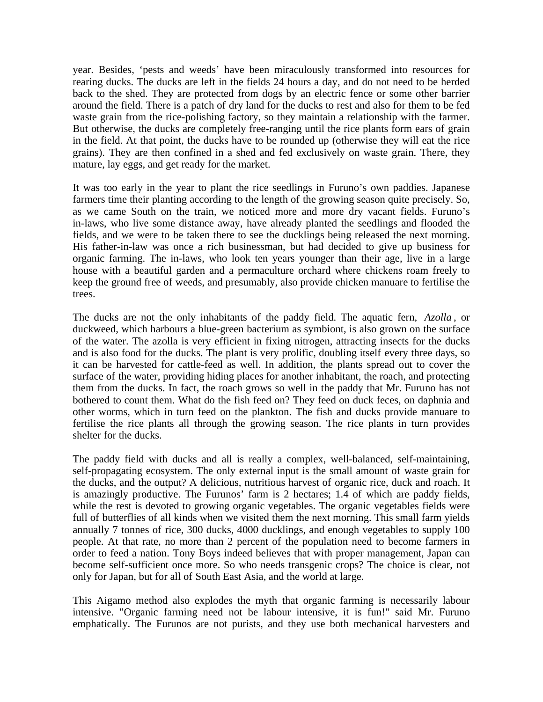year. Besides, 'pests and weeds' have been miraculously transformed into resources for rearing ducks. The ducks are left in the fields 24 hours a day, and do not need to be herded back to the shed. They are protected from dogs by an electric fence or some other barrier around the field. There is a patch of dry land for the ducks to rest and also for them to be fed waste grain from the rice-polishing factory, so they maintain a relationship with the farmer. But otherwise, the ducks are completely free-ranging until the rice plants form ears of grain in the field. At that point, the ducks have to be rounded up (otherwise they will eat the rice grains). They are then confined in a shed and fed exclusively on waste grain. There, they mature, lay eggs, and get ready for the market.

It was too early in the year to plant the rice seedlings in Furuno's own paddies. Japanese farmers time their planting according to the length of the growing season quite precisely. So, as we came South on the train, we noticed more and more dry vacant fields. Furuno's in-laws, who live some distance away, have already planted the seedlings and flooded the fields, and we were to be taken there to see the ducklings being released the next morning. His father-in-law was once a rich businessman, but had decided to give up business for organic farming. The in-laws, who look ten years younger than their age, live in a large house with a beautiful garden and a permaculture orchard where chickens roam freely to keep the ground free of weeds, and presumably, also provide chicken manuare to fertilise the trees.

The ducks are not the only inhabitants of the paddy field. The aquatic fern, *Azolla* , or duckweed, which harbours a blue-green bacterium as symbiont, is also grown on the surface of the water. The azolla is very efficient in fixing nitrogen, attracting insects for the ducks and is also food for the ducks. The plant is very prolific, doubling itself every three days, so it can be harvested for cattle-feed as well. In addition, the plants spread out to cover the surface of the water, providing hiding places for another inhabitant, the roach, and protecting them from the ducks. In fact, the roach grows so well in the paddy that Mr. Furuno has not bothered to count them. What do the fish feed on? They feed on duck feces, on daphnia and other worms, which in turn feed on the plankton. The fish and ducks provide manuare to fertilise the rice plants all through the growing season. The rice plants in turn provides shelter for the ducks.

The paddy field with ducks and all is really a complex, well-balanced, self-maintaining, self-propagating ecosystem. The only external input is the small amount of waste grain for the ducks, and the output? A delicious, nutritious harvest of organic rice, duck and roach. It is amazingly productive. The Furunos' farm is 2 hectares; 1.4 of which are paddy fields, while the rest is devoted to growing organic vegetables. The organic vegetables fields were full of butterflies of all kinds when we visited them the next morning. This small farm yields annually 7 tonnes of rice, 300 ducks, 4000 ducklings, and enough vegetables to supply 100 people. At that rate, no more than 2 percent of the population need to become farmers in order to feed a nation. Tony Boys indeed believes that with proper management, Japan can become self-sufficient once more. So who needs transgenic crops? The choice is clear, not only for Japan, but for all of South East Asia, and the world at large.

This Aigamo method also explodes the myth that organic farming is necessarily labour intensive. "Organic farming need not be labour intensive, it is fun!" said Mr. Furuno emphatically. The Furunos are not purists, and they use both mechanical harvesters and